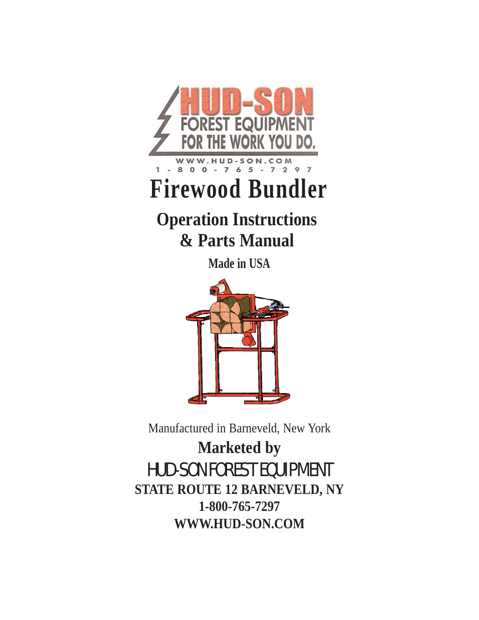

# $1 - 800 - 765 - 7297$ **Firewood Bundler**

# **Operation Instructions & Parts Manual**

**Made in USA**



Manufactured in Barneveld, New York

**Marketed by**  HUD-SON FOREST EQUIPMENT **STATE ROUTE 12 BARNEVELD, NY 1-800-765-7297 WWW.HUD-SON.COM**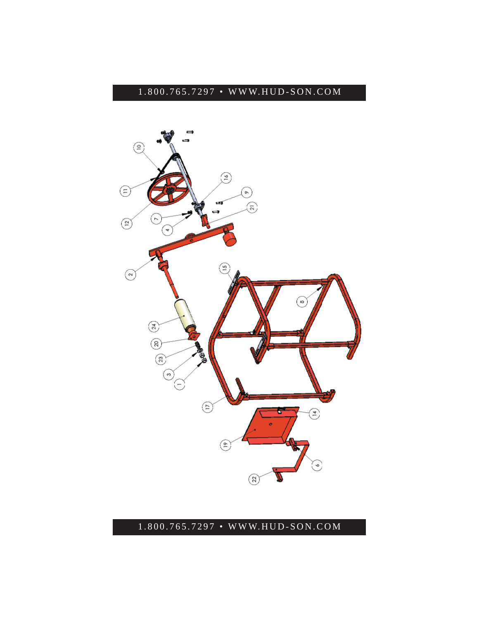# 1.800.765.7297 • WWW.HUD-SON.COM



# 1.800.765.7297 • WWW.HUD-SON.COM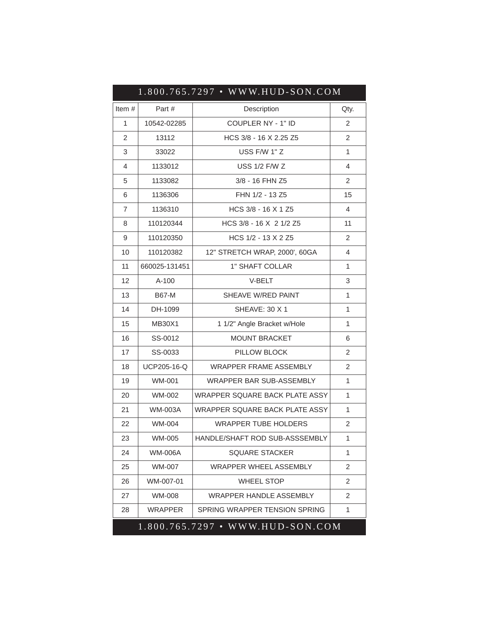| 1.800.765.7297 • WWW.HUD-SON.COM |                |                                       |                |
|----------------------------------|----------------|---------------------------------------|----------------|
| Item $#$                         | Part #         | Description                           | Qty.           |
| 1                                | 10542-02285    | COUPLER NY - 1" ID                    | 2              |
| $\overline{2}$                   | 13112          | HCS 3/8 - 16 X 2.25 Z5                | $\overline{2}$ |
| 3                                | 33022          | USS F/W 1" Z                          | 1              |
| 4                                | 1133012        | <b>USS 1/2 F/W Z</b>                  | 4              |
| 5                                | 1133082        | 3/8 - 16 FHN Z5                       | 2              |
| 6                                | 1136306        | FHN 1/2 - 13 Z5                       | 15             |
| 7                                | 1136310        | HCS 3/8 - 16 X 1 Z5                   | 4              |
| 8                                | 110120344      | HCS 3/8 - 16 X 2 1/2 Z5               | 11             |
| 9                                | 110120350      | HCS 1/2 - 13 X 2 Z5                   | 2              |
| 10                               | 110120382      | 12" STRETCH WRAP, 2000', 60GA         | 4              |
| 11                               | 660025-131451  | 1" SHAFT COLLAR                       | 1              |
| 12                               | A-100          | V-BELT                                | 3              |
| 13                               | <b>B67-M</b>   | SHEAVE W/RED PAINT                    | 1              |
| 14                               | DH-1099        | SHEAVE: 30 X 1                        | $\mathbf{1}$   |
| 15                               | <b>MB30X1</b>  | 1 1/2" Angle Bracket w/Hole           | 1              |
| 16                               | SS-0012        | <b>MOUNT BRACKET</b>                  | 6              |
| 17                               | SS-0033        | PILLOW BLOCK                          | 2              |
| 18                               | UCP205-16-Q    | <b>WRAPPER FRAME ASSEMBLY</b>         | $\overline{2}$ |
| 19                               | WM-001         | WRAPPER BAR SUB-ASSEMBLY              | 1              |
| 20                               | WM-002         | WRAPPER SQUARE BACK PLATE ASSY        | 1              |
| 21                               | <b>WM-003A</b> | <b>WRAPPER SQUARE BACK PLATE ASSY</b> | 1              |
| 22                               | WM-004         | <b>WRAPPER TUBE HOLDERS</b>           | 2              |
| 23                               | WM-005         | HANDLE/SHAFT ROD SUB-ASSSEMBLY        | 1              |
| 24                               | <b>WM-006A</b> | <b>SQUARE STACKER</b>                 | 1              |
| 25                               | WM-007         | WRAPPER WHEEL ASSEMBLY                | 2              |
| 26                               | WM-007-01      | WHEEL STOP                            | $\overline{2}$ |
| 27                               | WM-008         | WRAPPER HANDLE ASSEMBLY               | $\overline{2}$ |
| 28                               | WRAPPER        | SPRING WRAPPER TENSION SPRING         | 1              |
|                                  |                | 1.800.765.7297 • WWW.HUD-SON.COM      |                |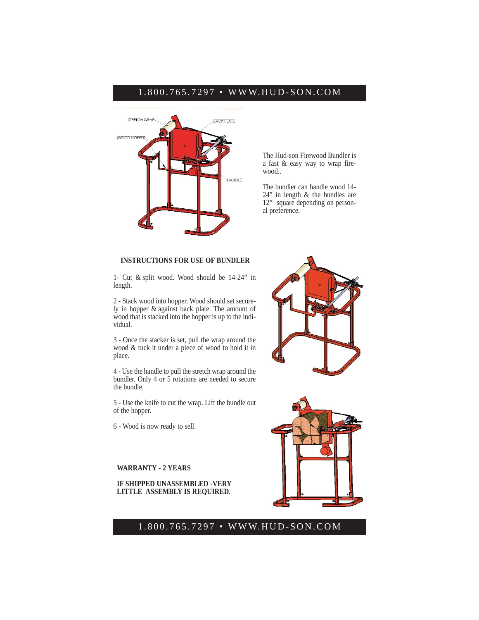## 1.800.765.7297 • WWW.HUD-SON.COM



The Hud-son Firewood Bundler is a fast & easy way to wrap firewood..

The bundler can handle wood 14- 24" in length & the bundles are 12" square depending on personal preference.

#### **INSTRUCTIONS FOR USE OF BUNDLER**

1- Cut & split wood. Wood should be 14-24" in length.

2 - Stack wood into hopper. Wood should set securely in hopper & against back plate. The amount of wood that is stacked into the hopper is up to the individual.

3 - Once the stacker is set, pull the wrap around the wood & tuck it under a piece of wood to hold it in place.

4 - Use the handle to pull the stretch wrap around the bundler. Only 4 or 5 rotations are needed to secure the bundle.

5 - Use the knife to cut the wrap. Lift the bundle out of the hopper.

6 - Wood is now ready to sell.

#### **WARRANTY - 2 YEARS**

**IF SHIPPED UNASSEMBLED -VERY LITTLE ASSEMBLY IS REQUIRED.**





1.800.765.7297 • WWW.HUD-SON.COM